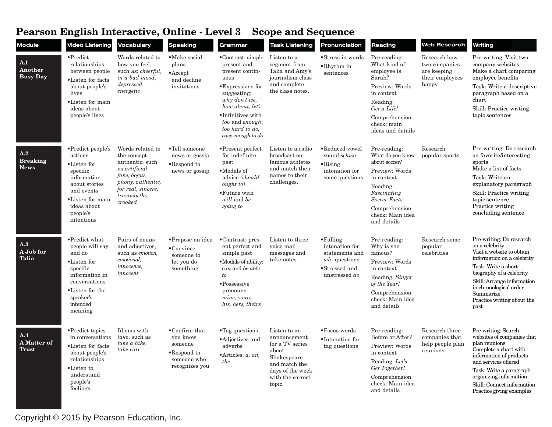## **Pearson English Interactive, Online - Level 3 Scope and Sequence**

| <b>Module</b>                         | <b>Video Listening</b>                                                                                                                                                               | Vocabulary                                                                                                                                                         | <b>Speaking</b>                                                                                        | Grammar                                                                                                                                                                                                                                | <b>Task Listening</b>                                                                                                                      | Pronunciation                                                                                               | Reading                                                                                                                                                                                 | <b>Web Research</b>                                                       | Writing                                                                                                                                                                                                                                                             |
|---------------------------------------|--------------------------------------------------------------------------------------------------------------------------------------------------------------------------------------|--------------------------------------------------------------------------------------------------------------------------------------------------------------------|--------------------------------------------------------------------------------------------------------|----------------------------------------------------------------------------------------------------------------------------------------------------------------------------------------------------------------------------------------|--------------------------------------------------------------------------------------------------------------------------------------------|-------------------------------------------------------------------------------------------------------------|-----------------------------------------------------------------------------------------------------------------------------------------------------------------------------------------|---------------------------------------------------------------------------|---------------------------------------------------------------------------------------------------------------------------------------------------------------------------------------------------------------------------------------------------------------------|
| A.1<br>Another<br><b>Busy Day</b>     | $\bullet$ Predict<br>relationships<br>between people<br>•Listen for facts<br>about people's<br>lives<br>• Listen for main<br>ideas about<br>people's lives                           | Words related to<br>how you feel,<br>such as: <i>cheerful</i> ,<br>in a bad mood,<br>depressed,<br>energetic                                                       | • Make social<br>plans<br>$\bullet$ Accept<br>and decline<br>invitations                               | $\bullet$ Contrast: simple<br>present and<br>present contin-<br>uous<br>• Expressions for<br>suggesting:<br>why don't we,<br>how about, let's<br>$\bullet$ Infinitives with<br>too and enough:<br>too hard to do,<br>easy enough to do | Listen to a<br>segment from<br>Talia and Amy's<br>journalism class<br>and complete<br>the class notes.                                     | •Stress in words<br>$\bullet$ Rhythm in<br>sentences                                                        | Pre-reading:<br>What kind of<br>employee is<br>Sarah?<br>Preview: Words<br>in context<br>Reading:<br>Get a Life!<br>Comprehension<br>check: main<br>ideas and details                   | Research how<br>two companies<br>are keeping<br>their employees<br>happy. | Pre-writing: Visit two<br>company websites<br>Make a chart comparing<br>employee benefits<br>Task: Write a descriptive<br>paragraph based on a<br>chart<br>Skill: Practice writing<br>topic sentences                                                               |
| A.2<br><b>Breaking</b><br><b>News</b> | $\bullet$ Predict people's<br>actions<br>$\bullet$ Listen for<br>specific<br>information<br>about stories<br>and events<br>•Listen for main<br>ideas about<br>people's<br>intentions | Words related to<br>the concept<br>authentic, such<br>as <i>artificial</i> ,<br>fake, bogus,<br>phony, authentic,<br>for real, sincere,<br>trustworthy,<br>crooked | •Tell someone<br>news or gossip<br>•Respond to<br>news or gossip                                       | $\bullet$ Present perfect<br>for indefinite<br>past<br>$\bullet$ Modals of<br>advice (should,<br>ought to)<br>• Future with<br>will and be<br>going to                                                                                 | Listen to a radio<br>broadcast on<br>famous athletes<br>and match their<br>names to their<br>challenges.                                   | •Reduced vowel<br>sound schwa<br>$\bullet$ Rising<br>intonation for<br>some questions                       | Pre-reading:<br>What do you know<br>about soccer?<br>Preview: Words<br>in context<br>Reading:<br>Fascinating<br><b>Soccer Facts</b><br>Comprehension<br>check: Main idea<br>and details | Research<br>popular sports                                                | Pre-writing: Do research<br>on favorite/interesting<br>sports<br>Make a list of facts<br>Task: Write an<br>explanatory paragraph<br>Skill: Practice writing<br>topic sentence<br>Practice writing<br>concluding sentence                                            |
| A.3<br>A Job for<br>Talia             | • Predict what<br>people will say<br>and do<br>•Listen for<br>specific<br>information in<br>conversations<br>•Listen for the<br>speaker's<br>intended<br>meaning                     | Pairs of nouns<br>and adjectives.<br>such as emotion,<br>emotional;<br><i>innocence</i> ,<br>innocent                                                              | • Propose an idea<br>$\bullet$ Convince<br>someone to<br>let you do<br>something                       | $\bullet$ Contrast: pres-<br>ent perfect and<br>simple past<br>• Modals of ability:<br>can and be able<br>to<br>• Possessive<br>pronouns:<br>mine, yours,<br>his, hers, theirs                                                         | Listen to three<br>voice mail<br>messages and<br>take notes.                                                                               | $\bullet$ Falling<br>intonation for<br>statements and<br>$wh$ - questions<br>•Stressed and<br>unstressed do | Pre-reading:<br>Why is she<br>famous?<br>Preview: Words<br>in context<br>Reading: Singer<br>of the Year!<br>Comprehension<br>check: Main idea<br>and details                            | Research some<br>popular<br>celebrities                                   | Pre-writing: Do research<br>on a celebrity<br>Visit a website to obtain<br>information on a celebrity<br>Task: Write a short<br>biography of a celebrity<br>Skill: Arrange information<br>in chronological order<br>Summarize<br>Practice writing about the<br>past |
| A.4<br>A Matter of<br><b>Trust</b>    | • Predict topics<br>in conversations<br>• Listen for facts<br>about people's<br>relationships<br>•Listen to<br>understand<br>people's<br>feelings                                    | Idioms with<br>take, such as<br>take a hike,<br>take care                                                                                                          | $\bullet$ Confirm that<br>you know<br>someone<br>$\bullet$ Respond to<br>someone who<br>recognizes you | $\bullet$ Tag questions<br>• Adjectives and<br>adverbs<br>$\bullet$ Articles: $a$ , $an$ ,<br>the                                                                                                                                      | Listen to an<br>announcement<br>for a TV series<br>about<br>Shakespeare<br>and match the<br>days of the week<br>with the correct<br>topic. | $\bullet$ Focus words<br>$\bullet$ Intonation for<br>tag questions                                          | Pre-reading:<br>Before or After?<br>Preview: Words<br>in context<br>Reading: Let's<br>Get Together!<br>Comprehension<br>check: Main idea<br>and details                                 | Research three<br>companies that<br>help people plan<br>reunions          | Pre-writing: Search<br>websites of companies that<br>plan reunions<br>Complete a chart with<br>information of products<br>and services offered<br>Task: Write a paragraph<br>organizing information<br>Skill: Connect information<br>Practice giving examples       |

Copyright © 2015 by Pearson Education, Inc.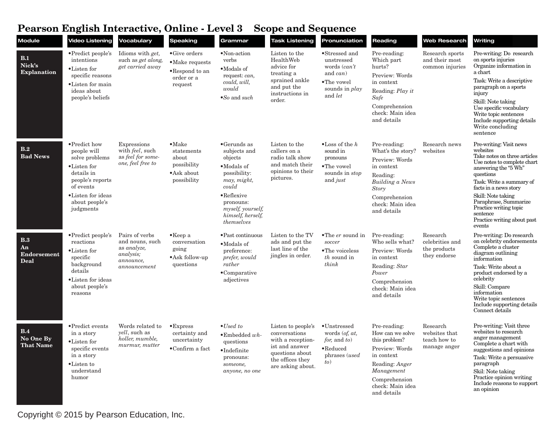## **Pearson English Interactive, Online - Level 3 Scope and Sequence**

| <b>Module</b>                                  | <b>Video Listening</b>                                                                                                                                           | Vocabulary                                                                                 | <b>Speaking</b>                                                                             | Grammar                                                                                                                                                                                                    | <b>Task Listening</b>                                                                                                                  | Pronunciation                                                                                                        | Reading                                                                                                                                                               | <b>Web Research</b>                                         | Writing                                                                                                                                                                                                                                                                                                                    |
|------------------------------------------------|------------------------------------------------------------------------------------------------------------------------------------------------------------------|--------------------------------------------------------------------------------------------|---------------------------------------------------------------------------------------------|------------------------------------------------------------------------------------------------------------------------------------------------------------------------------------------------------------|----------------------------------------------------------------------------------------------------------------------------------------|----------------------------------------------------------------------------------------------------------------------|-----------------------------------------------------------------------------------------------------------------------------------------------------------------------|-------------------------------------------------------------|----------------------------------------------------------------------------------------------------------------------------------------------------------------------------------------------------------------------------------------------------------------------------------------------------------------------------|
| B.1<br>Nick's<br><b>Explanation</b>            | •Predict people's<br>intentions<br>•Listen for<br>specific reasons<br>•Listen for main<br>ideas about<br>people's beliefs                                        | Idioms with get,<br>such as get along,<br>get carried away                                 | $\bullet$ Give orders<br>$\bullet$ Make requests<br>•Respond to an<br>order or a<br>request | •Non-action<br>verbs<br>•Modals of<br>request: can,<br>could, will,<br>would<br>$\bullet$ So and such                                                                                                      | Listen to the<br>HealthWeb<br>advice for<br>treating a<br>sprained ankle<br>and put the<br>instructions in<br>order.                   | •Stressed and<br>unstressed<br>words (can't<br>and $can)$<br>$\bullet$ The vowel<br>sounds in <i>play</i><br>and let | Pre-reading:<br>Which part<br>hurts?<br>Preview: Words<br>in context<br>Reading: Play it<br>Safe<br>Comprehension<br>check: Main idea<br>and details                  | Research sports<br>and their most<br>common injuries        | Pre-writing: Do research<br>on sports injuries<br>Organize information in<br>a chart<br>Task: Write a descriptive<br>paragraph on a sports<br>injury<br>Skill: Note taking<br>Use specific vocabulary<br>Write topic sentences<br>Include supporting details<br>Write concluding<br>sentence                               |
| B.2<br><b>Bad News</b>                         | • Predict how<br>people will<br>solve problems<br>•Listen for<br>details in<br>people's reports<br>of events<br>•Listen for ideas<br>about people's<br>judgments | Expressions<br>with <i>feel</i> , such<br>as feel for some-<br>one, feel free to           | $\bullet$ Make<br>statements<br>about<br>possibility<br>• Ask about<br>possibility          | $\bullet$ Gerunds as<br>subjects and<br>objects<br>$\bullet$ Modals of<br>possibility:<br>may, might,<br>could<br>$\bullet$ Reflexive<br>pronouns:<br>myself, yourself,<br>himself, herself,<br>themselves | Listen to the<br>callers on a<br>radio talk show<br>and match their<br>opinions to their<br>pictures.                                  | $\bullet$ Loss of the h<br>sound in<br>pronouns<br>•The vowel<br>sounds in <i>stop</i><br>and <i>just</i>            | Pre-reading:<br>What's the story?<br>Preview: Words<br>in context<br>Reading:<br><b>Building a News</b><br>Story<br>Comprehension<br>check: Main idea<br>and details  | Research news<br>websites                                   | Pre-writing: Visit news<br>websites<br>Take notes on three articles<br>Use notes to complete chart<br>answering the "5 Wh"<br>questions<br>Task: Write a summary of<br>facts in a news story<br>Skill: Note taking<br>Paraphrase, Summarize<br>Practice writing topic<br>sentence<br>Practice writing about past<br>events |
| B.3<br>An<br><b>Endorsement</b><br><b>Deal</b> | $\bullet$ Predict people's<br>reactions<br>•Listen for<br>specific<br>background<br>details<br>•Listen for ideas<br>about people's<br>reasons                    | Pairs of verbs<br>and nouns, such<br>as analyze,<br>analysis;<br>announce,<br>announcement | $\bullet$ Keep a<br>conversation<br>going<br>·Ask follow-up<br>questions                    | • Past continuous<br>•Modals of<br>preference:<br>prefer, would<br>rather<br>$\bullet$ Comparative<br>adjectives                                                                                           | Listen to the TV<br>ads and put the<br>last line of the<br>jingles in order.                                                           | $\bullet$ The <i>er</i> sound in<br>soccer<br>$\bullet$ The voiceless<br>$th$ sound in<br>think                      | Pre-reading:<br>Who sells what?<br>Preview: Words<br>in context<br>Reading: Star<br>Power<br>Comprehension<br>check: Main idea<br>and details                         | Research<br>celebrities and<br>the products<br>they endorse | Pre-writing: Do research<br>on celebrity endorsements<br>Complete a cluster<br>diagram outlining<br>information<br>Task: Write about a<br>product endorsed by a<br>celebrity<br>Skill: Compare<br>information<br>Write topic sentences<br>Include supporting details<br>Connect details                                    |
| B.4<br>No One By<br><b>That Name</b>           | • Predict events<br>in a story<br>•Listen for<br>specific events<br>in a story<br>•Listen to<br>understand<br>humor                                              | Words related to<br><i>vell</i> , such as<br>holler, mumble,<br>murmur, mutter             | $\bullet$ Express<br>certainty and<br>uncertainty<br>$\bullet$ Confirm a fact               | $\bullet$ Used to<br>$\bullet$ Embedded wh-<br>questions<br>$\bullet$ Indefinite<br>pronouns:<br>someone,<br>anyone, no one                                                                                | Listen to people's<br>conversations<br>with a reception-<br>ist and answer<br>questions about<br>the offices they<br>are asking about. | $\bullet$ Unstressed<br>words (of, at,<br><i>for</i> , and <i>to</i> )<br>$\bullet$ Reduced<br>phrases (used<br>to)  | Pre-reading:<br>How can we solve<br>this problem?<br>Preview: Words<br>in context<br>Reading: Anger<br>Management<br>Comprehension<br>check: Main idea<br>and details | Research<br>websites that<br>teach how to<br>manage anger   | Pre-writing: Visit three<br>websites to research<br>anger management<br>Complete a chart with<br>suggestions and opinions<br>Task: Write a persuasive<br>paragraph<br>Skil: Note taking<br>Practice opinion writing<br>Include reasons to support<br>an opinion                                                            |

Copyright © 2015 by Pearson Education, Inc.